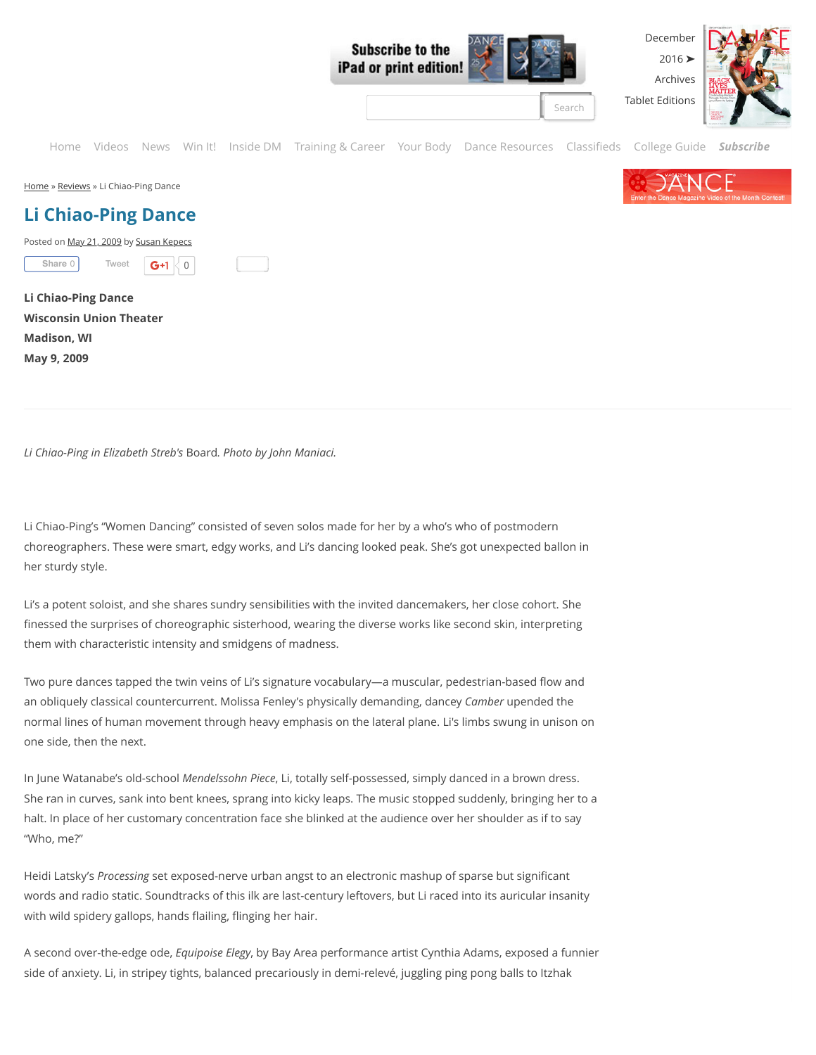

[Home](http://dancemagazine.com/) » [Reviews](http://dancemagazine.com/reviews/) » Li Chiao-Ping Dance

# **Li Chiao-Ping Dance**

Posted on [May 21, 2009](http://dancemagazine.com/reviews/Li_Chiao-Ping_Dance/) by [Susan Kepecs](http://dancemagazine.com/author/Susan%20Kepecs/)

[Tweet](https://twitter.com/intent/tweet?original_referer=http%3A%2F%2Fdancemagazine.com%2Freviews%2FLi_Chiao-Ping_Dance%2F&ref_src=twsrc%5Etfw&text=Li%20Chiao-Ping%20Dance&tw_p=tweetbutton&url=http%3A%2F%2Fdancemagazine.com%2Freviews%2FLi_Chiao-Ping_Dance%2F)  $\mathsf{G}+1$  0 **[Share](https://www.facebook.com/sharer/sharer.php?app_id=210334582354214&sdk=joey&u=http%3A%2F%2Fdancemagazine.com%2Freviews%2FLi_Chiao-Ping_Dance%2F&display=popup&ref=plugin&src=share_button)** 0

**Li Chiao-Ping Dance Wisconsin Union Theater Madison, WI May 9, 2009**

*Li Chiao-Ping in Elizabeth Streb's* Board*. Photo by John Maniaci.*

Li Chiao-Ping's "Women Dancing" consisted of seven solos made for her by a who's who of postmodern choreographers. These were smart, edgy works, and Li's dancing looked peak. She's got unexpected ballon in her sturdy style.

Li's a potent soloist, and she shares sundry sensibilities with the invited dancemakers, her close cohort. She finessed the surprises of choreographic sisterhood, wearing the diverse works like second skin, interpreting them with characteristic intensity and smidgens of madness.

Two pure dances tapped the twin veins of Li's signature vocabulary—a muscular, pedestrian-based flow and an obliquely classical countercurrent. Molissa Fenley's physically demanding, dancey *Camber* upended the normal lines of human movement through heavy emphasis on the lateral plane. Li's limbs swung in unison on one side, then the next.

In June Watanabe's old-school *Mendelssohn Piece*, Li, totally self-possessed, simply danced in a brown dress. She ran in curves, sank into bent knees, sprang into kicky leaps. The music stopped suddenly, bringing her to a halt. In place of her customary concentration face she blinked at the audience over her shoulder as if to say "Who, me?"

Heidi Latsky's *Processing* set exposed-nerve urban angst to an electronic mashup of sparse but significant words and radio static. Soundtracks of this ilk are last-century leftovers, but Li raced into its auricular insanity with wild spidery gallops, hands flailing, flinging her hair.

A second over-the-edge ode, *Equipoise Elegy*, by Bay Area performance artist Cynthia Adams, exposed a funnier side of anxiety. Li, in stripey tights, balanced precariously in demi-relevé, juggling ping pong balls to Itzhak

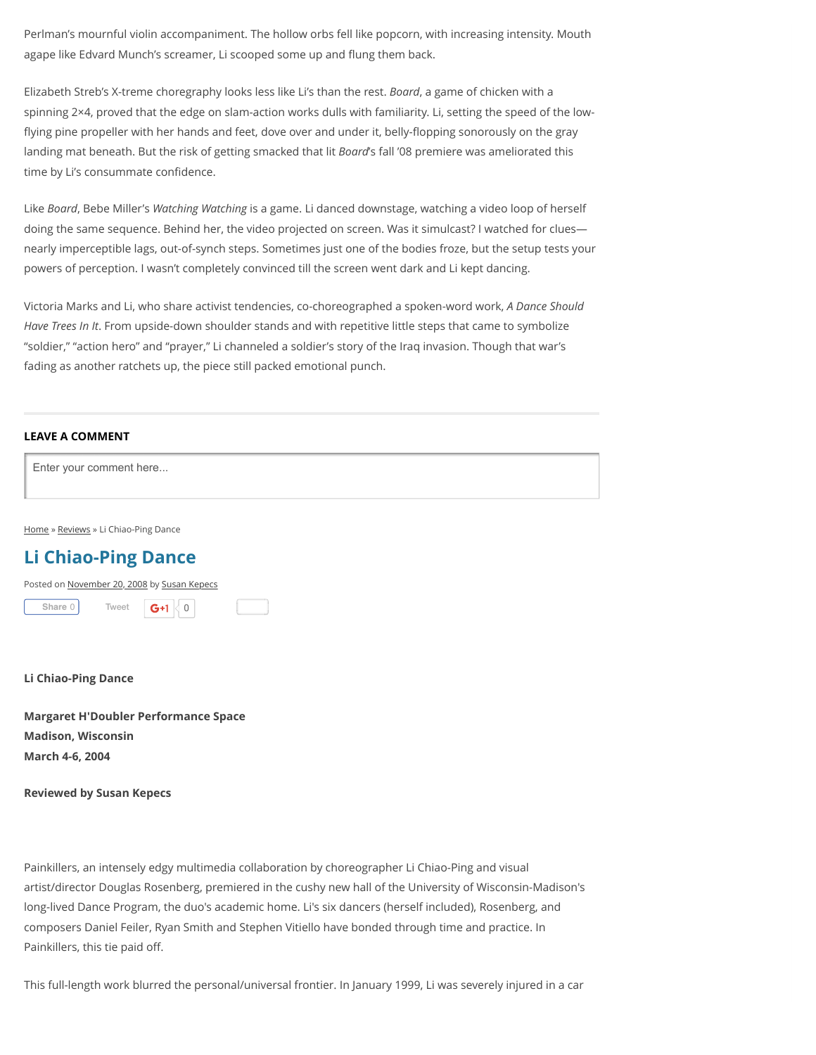Perlman's mournful violin accompaniment. The hollow orbs fell like popcorn, with increasing intensity. Mouth agape like Edvard Munch's screamer, Li scooped some up and flung them back.

Elizabeth Streb's X-treme choregraphy looks less like Li's than the rest. *Board*, a game of chicken with a spinning 2×4, proved that the edge on slam-action works dulls with familiarity. Li, setting the speed of the lowflying pine propeller with her hands and feet, dove over and under it, belly-flopping sonorously on the gray landing mat beneath. But the risk of getting smacked that lit *Board*'s fall '08 premiere was ameliorated this time by Li's consummate confidence.

Like *Board*, Bebe Miller's *Watching Watching* is a game. Li danced downstage, watching a video loop of herself doing the same sequence. Behind her, the video projected on screen. Was it simulcast? I watched for clues nearly imperceptible lags, out-of-synch steps. Sometimes just one of the bodies froze, but the setup tests your powers of perception. I wasn't completely convinced till the screen went dark and Li kept dancing.

Victoria Marks and Li, who share activist tendencies, co-choreographed a spoken-word work, *A Dance Should Have Trees In It*. From upside-down shoulder stands and with repetitive little steps that came to symbolize "soldier," "action hero" and "prayer," Li channeled a soldier's story of the Iraq invasion. Though that war's fading as another ratchets up, the piece still packed emotional punch.

#### **LEAVE A COMMENT**

Enter your comment here...

[Home](http://dancemagazine.com/) » [Reviews](http://dancemagazine.com/reviews/) » Li Chiao-Ping Dance

# **Li Chiao-Ping Dance**



#### **Li Chiao-Ping Dance**

**Margaret H'Doubler Performance Space Madison, Wisconsin March 4-6, 2004**

### **Reviewed by Susan Kepecs**

Painkillers, an intensely edgy multimedia collaboration by choreographer Li Chiao-Ping and visual artist/director Douglas Rosenberg, premiered in the cushy new hall of the University of Wisconsin-Madison's long-lived Dance Program, the duo's academic home. Li's six dancers (herself included), Rosenberg, and composers Daniel Feiler, Ryan Smith and Stephen Vitiello have bonded through time and practice. In Painkillers, this tie paid off.

This full-length work blurred the personal/universal frontier. In January 1999, Li was severely injured in a car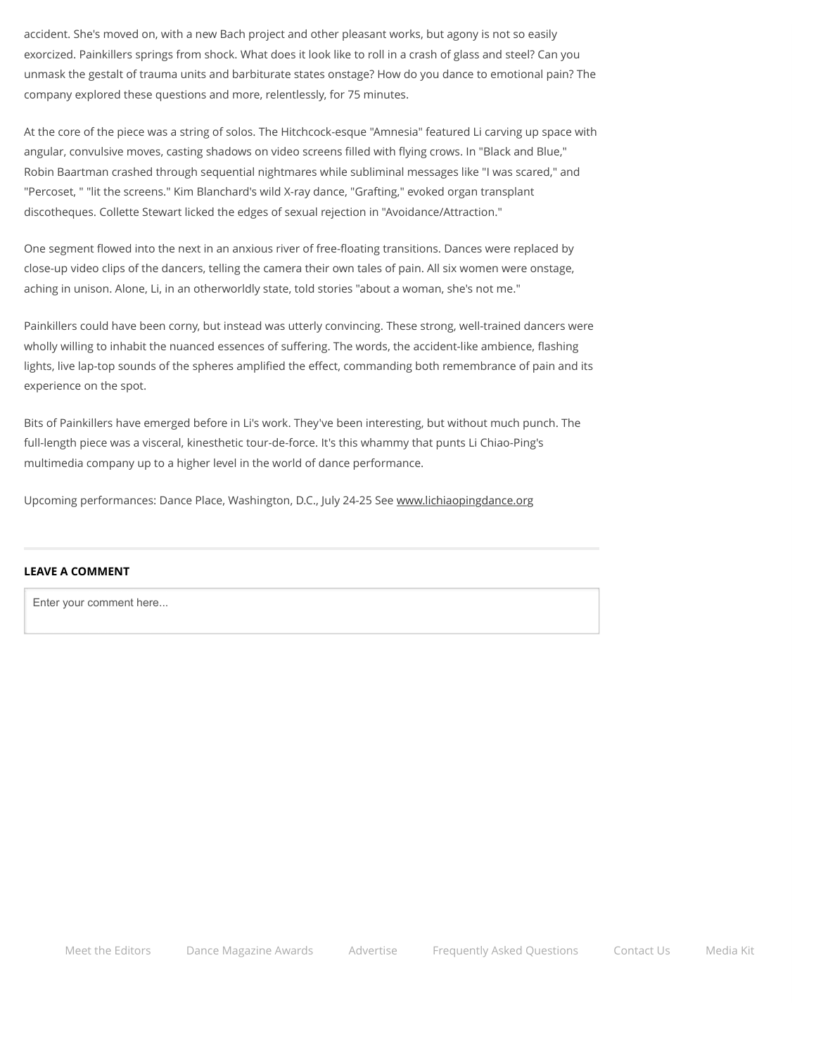accident. She's moved on, with a new Bach project and other pleasant works, but agony is not so easily exorcized. Painkillers springs from shock. What does it look like to roll in a crash of glass and steel? Can you unmask the gestalt of trauma units and barbiturate states onstage? How do you dance to emotional pain? The company explored these questions and more, relentlessly, for 75 minutes.

At the core of the piece was a string of solos. The Hitchcock-esque "Amnesia" featured Li carving up space with angular, convulsive moves, casting shadows on video screens filled with flying crows. In "Black and Blue," Robin Baartman crashed through sequential nightmares while subliminal messages like "I was scared," and "Percoset, " "lit the screens." Kim Blanchard's wild X-ray dance, "Grafting," evoked organ transplant discotheques. Collette Stewart licked the edges of sexual rejection in "Avoidance/Attraction."

One segment flowed into the next in an anxious river of free-floating transitions. Dances were replaced by close-up video clips of the dancers, telling the camera their own tales of pain. All six women were onstage, aching in unison. Alone, Li, in an otherworldly state, told stories "about a woman, she's not me."

Painkillers could have been corny, but instead was utterly convincing. These strong, well-trained dancers were wholly willing to inhabit the nuanced essences of suffering. The words, the accident-like ambience, flashing lights, live lap-top sounds of the spheres amplified the effect, commanding both remembrance of pain and its experience on the spot.

Bits of Painkillers have emerged before in Li's work. They've been interesting, but without much punch. The full-length piece was a visceral, kinesthetic tour-de-force. It's this whammy that punts Li Chiao-Ping's multimedia company up to a higher level in the world of dance performance.

Upcoming performances: Dance Place, Washington, D.C., July 24-25 See [www.lichiaopingdance.org](http://www.lichiaopingdance.org/)

## **LEAVE A COMMENT**

Enter your comment here...